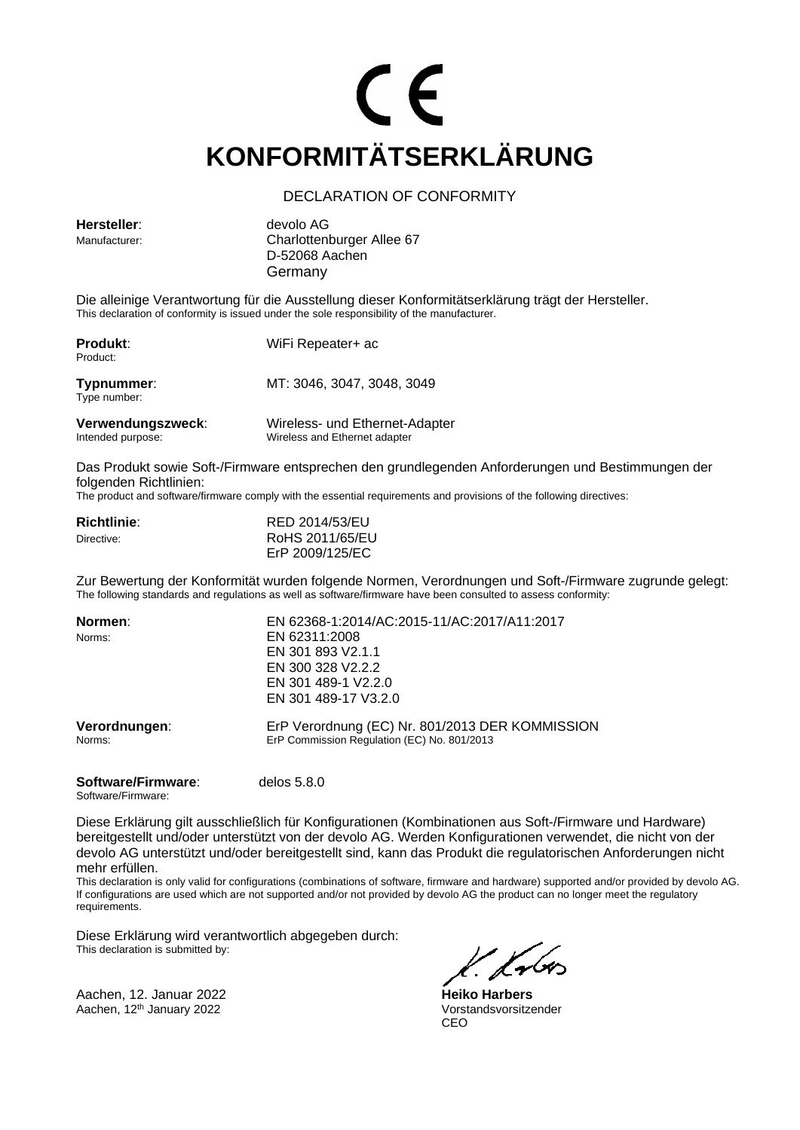# CE **KONFORMITÄTSERKLÄRUNG**

### DECLARATION OF CONFORMITY

**Hersteller**: devolo AG

Manufacturer: Charlottenburger Allee 67 D-52068 Aachen Germany

Die alleinige Verantwortung für die Ausstellung dieser Konformitätserklärung trägt der Hersteller. This declaration of conformity is issued under the sole responsibility of the manufacturer.

| <b>Produkt:</b><br>Product:            | WiFi Repeater+ ac                                               |
|----------------------------------------|-----------------------------------------------------------------|
| Typnummer:<br>Type number:             | MT: 3046, 3047, 3048, 3049                                      |
| Verwendungszweck:<br>Intended purpose: | Wireless- und Ethernet-Adapter<br>Wireless and Ethernet adapter |

Das Produkt sowie Soft-/Firmware entsprechen den grundlegenden Anforderungen und Bestimmungen der folgenden Richtlinien:

The product and software/firmware comply with the essential requirements and provisions of the following directives:

| <b>Richtlinie:</b> | RED 2014/53/EU  |
|--------------------|-----------------|
| Directive:         | RoHS 2011/65/EU |
|                    | ErP 2009/125/EC |

Zur Bewertung der Konformität wurden folgende Normen, Verordnungen und Soft-/Firmware zugrunde gelegt: The following standards and regulations as well as software/firmware have been consulted to assess conformity:

| Normen:                 | EN 62368-1:2014/AC:2015-11/AC:2017/A11:2017                                                    |
|-------------------------|------------------------------------------------------------------------------------------------|
| Norms:                  | EN 62311:2008                                                                                  |
|                         | EN 301 893 V2.1.1                                                                              |
|                         | EN 300 328 V2.2.2                                                                              |
|                         | EN 301 489-1 V2.2.0                                                                            |
|                         | EN 301 489-17 V3.2.0                                                                           |
| Verordnungen:<br>Norms: | ErP Verordnung (EC) Nr. 801/2013 DER KOMMISSION<br>ErP Commission Regulation (EC) No. 801/2013 |
|                         |                                                                                                |

**Software/Firmware**: delos 5.8.0 Software/Firmware:

Diese Erklärung gilt ausschließlich für Konfigurationen (Kombinationen aus Soft-/Firmware und Hardware) bereitgestellt und/oder unterstützt von der devolo AG. Werden Konfigurationen verwendet, die nicht von der devolo AG unterstützt und/oder bereitgestellt sind, kann das Produkt die regulatorischen Anforderungen nicht mehr erfüllen.

This declaration is only valid for configurations (combinations of software, firmware and hardware) supported and/or provided by devolo AG. If configurations are used which are not supported and/or not provided by devolo AG the product can no longer meet the regulatory requirements.

Diese Erklärung wird verantwortlich abgegeben durch: This declaration is submitted by:

Aachen, 12. Januar 2022 **Heiko Harbers** Aachen, 12<sup>th</sup> January 2022

CEO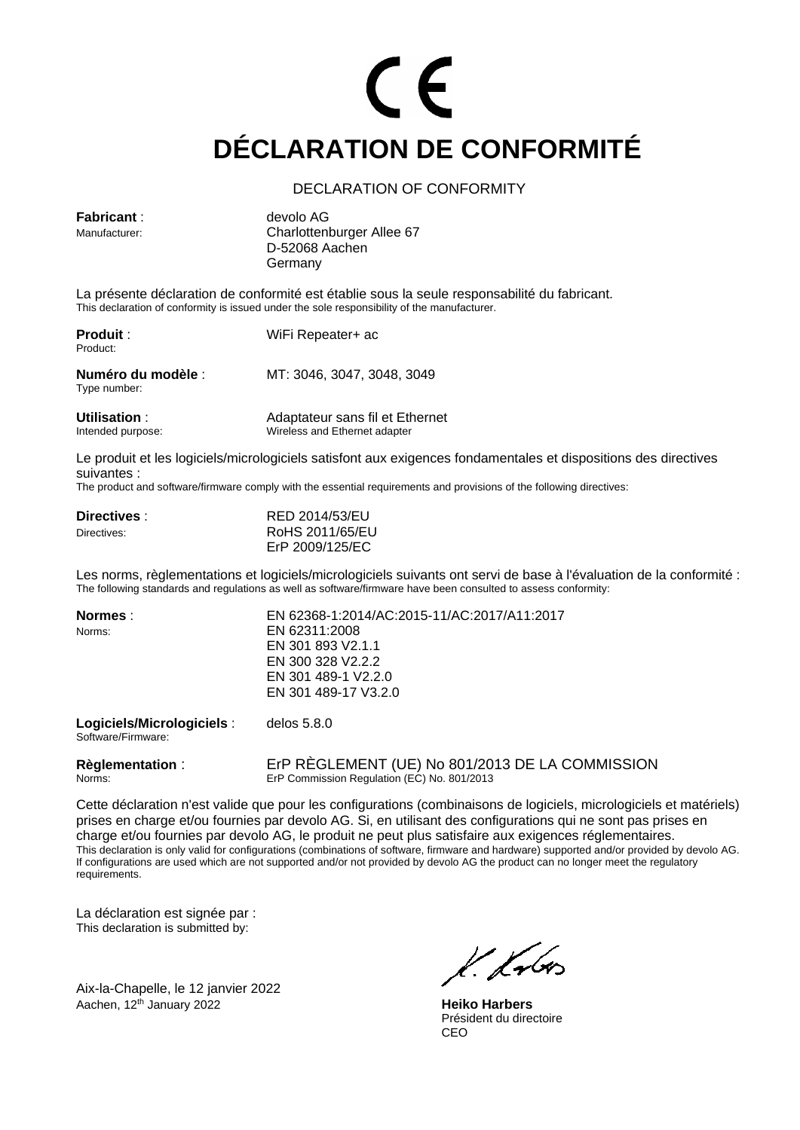# CE **DÉCLARATION DE CONFORMITÉ**

### DECLARATION OF CONFORMITY

| <b>Fabricant:</b>           | devolo AG                                                                                                                                                                                   |
|-----------------------------|---------------------------------------------------------------------------------------------------------------------------------------------------------------------------------------------|
| Manufacturer:               | Charlottenburger Allee 67<br>D-52068 Aachen                                                                                                                                                 |
|                             | Germany                                                                                                                                                                                     |
|                             | La présente déclaration de conformité est établie sous la seule responsabilité du fabricant.<br>This declaration of conformity is issued under the sole responsibility of the manufacturer. |
| <b>Produit:</b><br>Product: | WiFi Repeater+ ac                                                                                                                                                                           |
| Numéro du modèle :          | MT: 3046, 3047, 3048, 3049                                                                                                                                                                  |

**Utilisation** : <br>  $\begin{array}{ccc}\n\text{Adaptateur sans file et Ethernet} \\
\text{Intended purpose: & \text{Wireless and Ethernet adapter}\n\end{array}$ Wireless and Ethernet adapter

Le produit et les logiciels/micrologiciels satisfont aux exigences fondamentales et dispositions des directives suivantes :

The product and software/firmware comply with the essential requirements and provisions of the following directives:

| Directives: | RED 2014/53/EU  |
|-------------|-----------------|
| Directives: | RoHS 2011/65/EU |
|             | ErP 2009/125/EC |

Les norms, règlementations et logiciels/micrologiciels suivants ont servi de base à l'évaluation de la conformité : The following standards and regulations as well as software/firmware have been consulted to assess conformity:

| Normes :                                        | EN 62368-1:2014/AC:2015-11/AC:2017/A11:2017 |
|-------------------------------------------------|---------------------------------------------|
| Norms:                                          | EN 62311:2008                               |
|                                                 | EN 301 893 V2.1.1                           |
|                                                 | EN 300 328 V2.2.2                           |
|                                                 | EN 301 489-1 V2.2.0                         |
|                                                 | EN 301 489-17 V3.2.0                        |
| Logiciels/Micrologiciels:<br>Software/Firmware: | delos $5.8.0$                               |

Type number:

**Règlementation** : ErP RÈGLEMENT (UE) No 801/2013 DE LA COMMISSION<br>Norms: ErP Commission Regulation (EC) No. 801/2013 ErP Commission Regulation (EC) No. 801/2013

Cette déclaration n'est valide que pour les configurations (combinaisons de logiciels, micrologiciels et matériels) prises en charge et/ou fournies par devolo AG. Si, en utilisant des configurations qui ne sont pas prises en charge et/ou fournies par devolo AG, le produit ne peut plus satisfaire aux exigences réglementaires. This declaration is only valid for configurations (combinations of software, firmware and hardware) supported and/or provided by devolo AG. If configurations are used which are not supported and/or not provided by devolo AG the product can no longer meet the regulatory requirements.

La déclaration est signée par : This declaration is submitted by:

Aix-la-Chapelle, le 12 janvier 2022 Aachen, 12<sup>th</sup> January 2022 **Heiko Harbers** 

k. fr<r.

Président du directoire CEO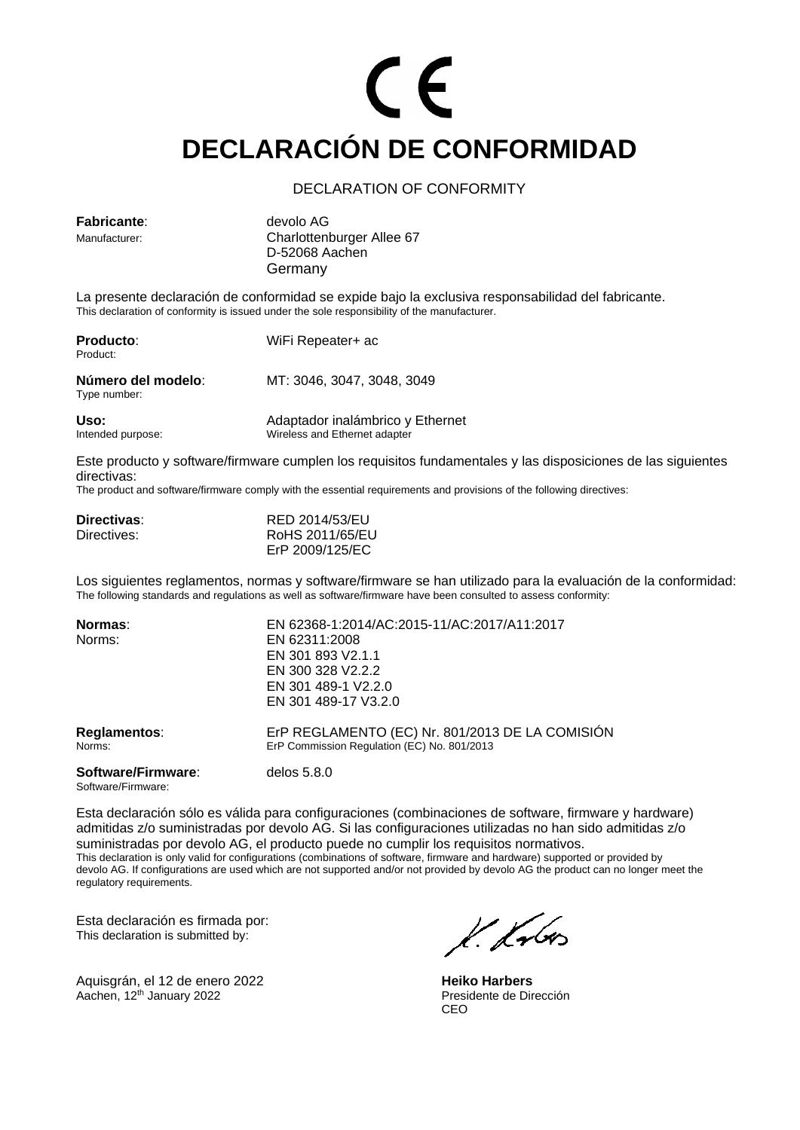# CE **DECLARACIÓN DE CONFORMIDAD**

### DECLARATION OF CONFORMITY

| <b>Fabricante:</b><br>Manufacturer: | devolo AG<br>Charlottenburger Allee 67<br>D-52068 Aachen<br>Germany                                                                                                                               |
|-------------------------------------|---------------------------------------------------------------------------------------------------------------------------------------------------------------------------------------------------|
|                                     | La presente declaración de conformidad se expide bajo la exclusiva responsabilidad del fabricante.<br>This declaration of conformity is issued under the sole responsibility of the manufacturer. |
| <b>Producto:</b><br>Product:        | WiFi Repeater+ ac                                                                                                                                                                                 |

| Número del modelo:<br>Type number: | MT: 3046, 3047, 3048, 3049       |  |
|------------------------------------|----------------------------------|--|
| Uso:                               | Adaptador inalámbrico y Ethernet |  |
| Intended purpose:                  | Wireless and Ethernet adapter    |  |

Este producto y software/firmware cumplen los requisitos fundamentales y las disposiciones de las siguientes directivas:

The product and software/firmware comply with the essential requirements and provisions of the following directives:

| Directivas: | RED 2014/53/EU  |
|-------------|-----------------|
| Directives: | RoHS 2011/65/EU |
|             | ErP 2009/125/EC |

Los siguientes reglamentos, normas y software/firmware se han utilizado para la evaluación de la conformidad: The following standards and regulations as well as software/firmware have been consulted to assess conformity:

| Normas:                                  | EN 62368-1:2014/AC:2015-11/AC:2017/A11:2017                                                    |
|------------------------------------------|------------------------------------------------------------------------------------------------|
| Norms:                                   | EN 62311:2008                                                                                  |
|                                          | EN 301 893 V2.1.1                                                                              |
|                                          | EN 300 328 V2.2.2                                                                              |
|                                          | EN 301 489-1 V2.2.0                                                                            |
|                                          | EN 301 489-17 V3.2.0                                                                           |
| Reglamentos:<br>Norms:                   | ErP REGLAMENTO (EC) Nr. 801/2013 DE LA COMISIÓN<br>ErP Commission Regulation (EC) No. 801/2013 |
| Software/Firmware:<br>Software/Firmware: | delos $5.8.0$                                                                                  |

Esta declaración sólo es válida para configuraciones (combinaciones de software, firmware y hardware) admitidas z/o suministradas por devolo AG. Si las configuraciones utilizadas no han sido admitidas z/o suministradas por devolo AG, el producto puede no cumplir los requisitos normativos. This declaration is only valid for configurations (combinations of software, firmware and hardware) supported or provided by devolo AG. If configurations are used which are not supported and/or not provided by devolo AG the product can no longer meet the regulatory requirements.

Esta declaración es firmada por: This declaration is submitted by:

Aquisgrán, el 12 de enero 2022 **Heiko Harbers**<br>Aachen. 12<sup>th</sup> January 2022 **Heiko Harbers** Presidente de Dirección Aachen, 12<sup>th</sup> January 2022

l. Kr

CEO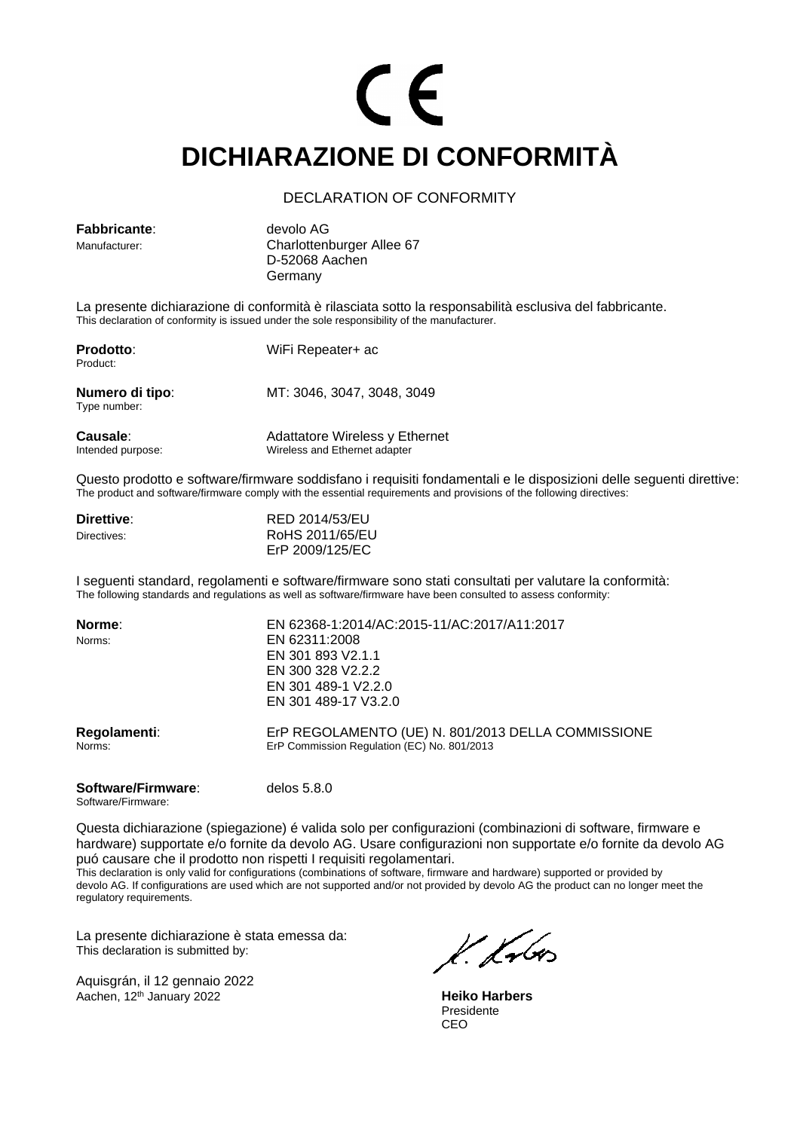## CE **DICHIARAZIONE DI CONFORMITÀ**

### DECLARATION OF CONFORMITY

| <b>Fabbricante:</b><br>Manufacturer: | devolo AG<br>Charlottenburger Allee 67<br>D-52068 Aachen<br>Germany                                                                                                                                    |
|--------------------------------------|--------------------------------------------------------------------------------------------------------------------------------------------------------------------------------------------------------|
|                                      | La presente dichiarazione di conformità è rilasciata sotto la responsabilità esclusiva del fabbricante.<br>This declaration of conformity is issued under the sole responsibility of the manufacturer. |

| <b>Prodotto:</b><br>Product:         | WiFi Repeater+ ac                                               |  |
|--------------------------------------|-----------------------------------------------------------------|--|
| Numero di tipo:<br>Type number:      | MT: 3046, 3047, 3048, 3049                                      |  |
| <b>Causale:</b><br>Intended purpose: | Adattatore Wireless y Ethernet<br>Wireless and Ethernet adapter |  |

Questo prodotto e software/firmware soddisfano i requisiti fondamentali e le disposizioni delle seguenti direttive: The product and software/firmware comply with the essential requirements and provisions of the following directives:

| Direttive:  | RED 2014/53/EU  |
|-------------|-----------------|
| Directives: | RoHS 2011/65/EU |
|             | ErP 2009/125/EC |

I seguenti standard, regolamenti e software/firmware sono stati consultati per valutare la conformità: The following standards and regulations as well as software/firmware have been consulted to assess conformity:

| Norme:                 | EN 62368-1:2014/AC:2015-11/AC:2017/A11:2017                                                       |
|------------------------|---------------------------------------------------------------------------------------------------|
| Norms:                 | EN 62311:2008                                                                                     |
|                        | EN 301 893 V2.1.1                                                                                 |
|                        | EN 300 328 V2.2.2                                                                                 |
|                        | EN 301 489-1 V2.2.0                                                                               |
|                        | EN 301 489-17 V3.2.0                                                                              |
| Regolamenti:<br>Norms: | ErP REGOLAMENTO (UE) N. 801/2013 DELLA COMMISSIONE<br>ErP Commission Regulation (EC) No. 801/2013 |

#### **Software/Firmware**: delos 5.8.0

Software/Firmware:

Questa dichiarazione (spiegazione) é valida solo per configurazioni (combinazioni di software, firmware e hardware) supportate e/o fornite da devolo AG. Usare configurazioni non supportate e/o fornite da devolo AG puó causare che il prodotto non rispetti I requisiti regolamentari.

This declaration is only valid for configurations (combinations of software, firmware and hardware) supported or provided by devolo AG. If configurations are used which are not supported and/or not provided by devolo AG the product can no longer meet the regulatory requirements.

La presente dichiarazione è stata emessa da: This declaration is submitted by:

Aquisgrán, il 12 gennaio 2022 Aachen, 12<sup>th</sup> January 2022 **Heiko Harbers** 

VII vbr.

Presidente CEO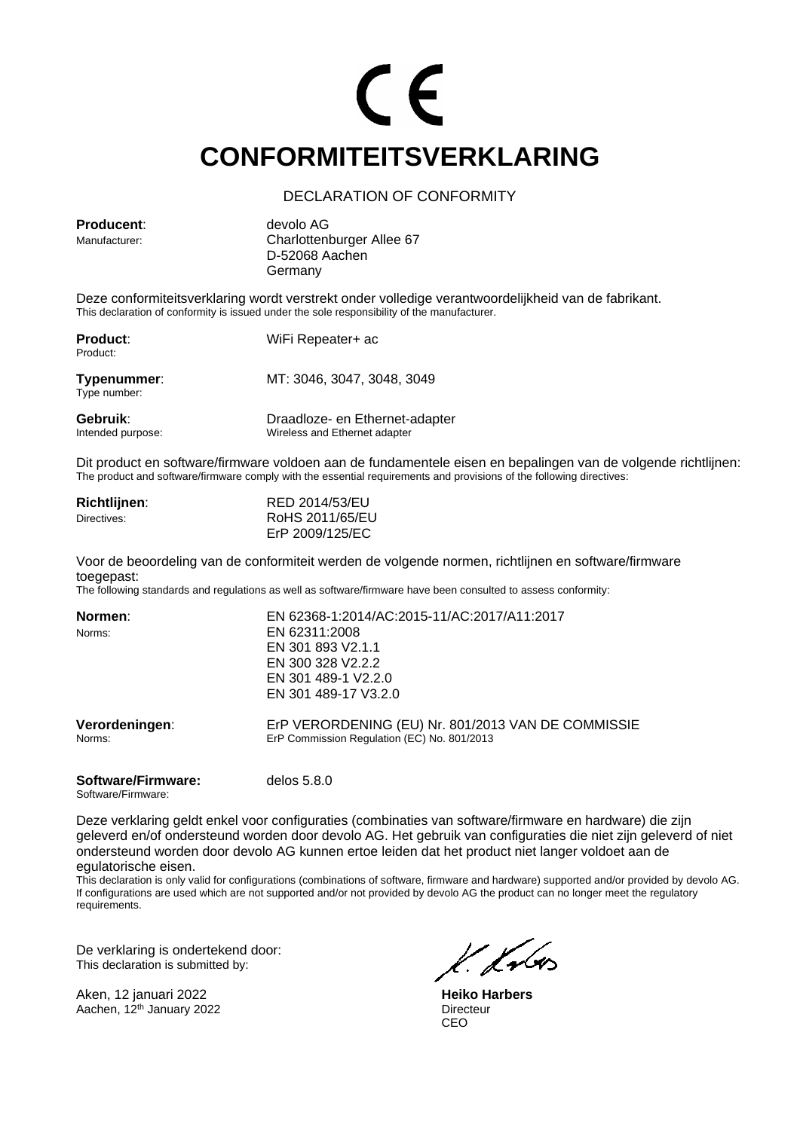## CE **CONFORMITEITSVERKLARING**

### DECLARATION OF CONFORMITY

**Producent**: devolo AG

Manufacturer: Charlottenburger Allee 67 D-52068 Aachen Germany

Deze conformiteitsverklaring wordt verstrekt onder volledige verantwoordelijkheid van de fabrikant. This declaration of conformity is issued under the sole responsibility of the manufacturer.

| <b>Product:</b><br>Product:   | WiFi Repeater+ ac                                               |
|-------------------------------|-----------------------------------------------------------------|
| Typenummer:<br>Type number:   | MT: 3046, 3047, 3048, 3049                                      |
| Gebruik:<br>Intended purpose: | Draadloze- en Ethernet-adapter<br>Wireless and Ethernet adapter |

Dit product en software/firmware voldoen aan de fundamentele eisen en bepalingen van de volgende richtlijnen: The product and software/firmware comply with the essential requirements and provisions of the following directives:

| <b>Richtlijnen:</b> | RED 2014/53/EU  |
|---------------------|-----------------|
| Directives:         | RoHS 2011/65/EU |
|                     | ErP 2009/125/EC |

Voor de beoordeling van de conformiteit werden de volgende normen, richtlijnen en software/firmware toegepast:

The following standards and regulations as well as software/firmware have been consulted to assess conformity:

| Normen:                  | EN 62368-1:2014/AC:2015-11/AC:2017/A11:2017                                                       |
|--------------------------|---------------------------------------------------------------------------------------------------|
| Norms:                   | EN 62311:2008                                                                                     |
|                          | EN 301 893 V2.1.1                                                                                 |
|                          | EN 300 328 V2.2.2                                                                                 |
|                          | EN 301 489-1 V2.2.0                                                                               |
|                          | EN 301 489-17 V3.2.0                                                                              |
| Verordeningen:<br>Norms: | ErP VERORDENING (EU) Nr. 801/2013 VAN DE COMMISSIE<br>ErP Commission Regulation (EC) No. 801/2013 |
|                          |                                                                                                   |

#### **Software/Firmware:** delos 5.8.0 Software/Firmware:

Deze verklaring geldt enkel voor configuraties (combinaties van software/firmware en hardware) die zijn geleverd en/of ondersteund worden door devolo AG. Het gebruik van configuraties die niet zijn geleverd of niet ondersteund worden door devolo AG kunnen ertoe leiden dat het product niet langer voldoet aan de egulatorische eisen.

This declaration is only valid for configurations (combinations of software, firmware and hardware) supported and/or provided by devolo AG. If configurations are used which are not supported and/or not provided by devolo AG the product can no longer meet the regulatory requirements.

De verklaring is ondertekend door: This declaration is submitted by:

Aken, 12 januari 2022 **Heiko Harbers** Aachen, 12<sup>th</sup> January 2022

CEO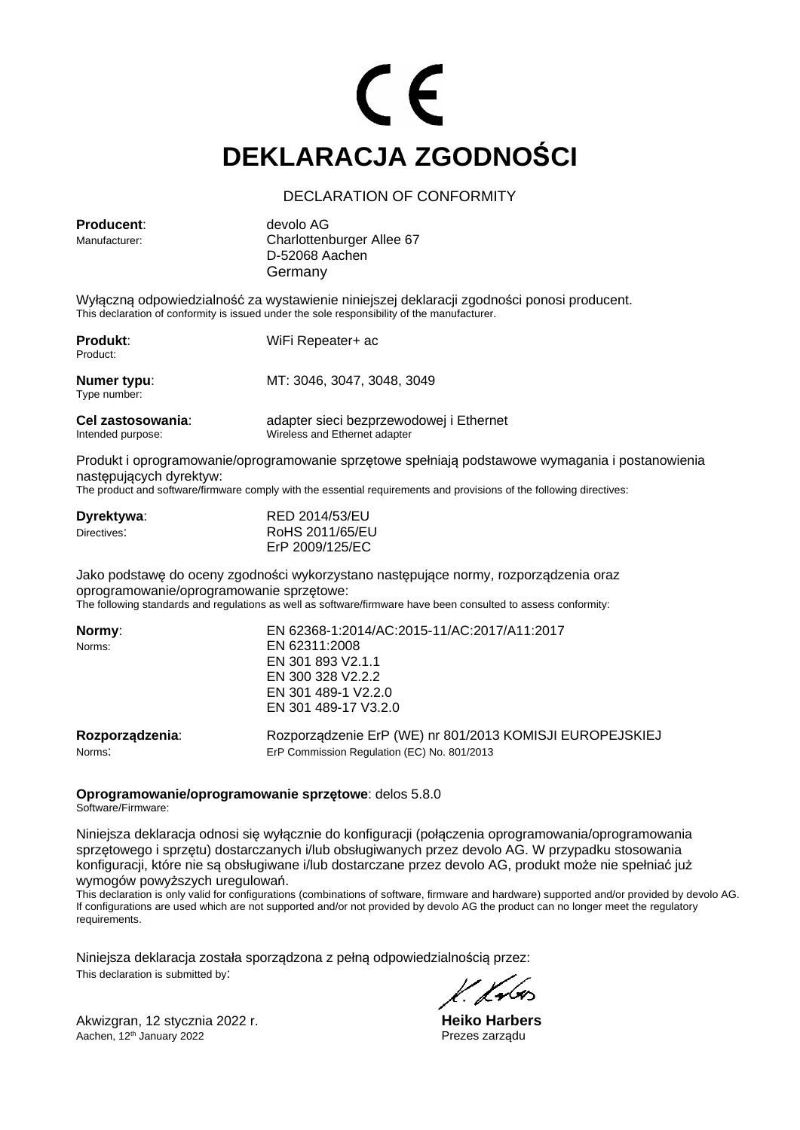# CE **DEKLARACJA ZGODNOŚCI**

### DECLARATION OF CONFORMITY

**Producent**: devolo AG

Manufacturer: Charlottenburger Allee 67 D-52068 Aachen Germany

Wyłączną odpowiedzialność za wystawienie niniejszej deklaracji zgodności ponosi producent. This declaration of conformity is issued under the sole responsibility of the manufacturer.

| <b>Produkt:</b><br>Product:            | WiFi Repeater+ ac                                                        |
|----------------------------------------|--------------------------------------------------------------------------|
| Numer typu:<br>Type number:            | MT: 3046, 3047, 3048, 3049                                               |
| Cel zastosowania:<br>Intended purpose: | adapter sieci bezprzewodowej i Ethernet<br>Wireless and Ethernet adapter |

Produkt i oprogramowanie/oprogramowanie sprzętowe spełniają podstawowe wymagania i postanowienia następujących dyrektyw:

The product and software/firmware comply with the essential requirements and provisions of the following directives:

| Dyrektywa:  | RED 2014/53/EU  |
|-------------|-----------------|
| Directives: | RoHS 2011/65/EU |
|             | ErP 2009/125/EC |

Jako podstawę do oceny zgodności wykorzystano następujące normy, rozporządzenia oraz oprogramowanie/oprogramowanie sprzętowe: The following standards and regulations as well as software/firmware have been consulted to assess conformity:

| Normy:          | EN 62368-1:2014/AC:2015-11/AC:2017/A11:2017              |
|-----------------|----------------------------------------------------------|
| Norms:          | EN 62311:2008                                            |
|                 | EN 301 893 V2.1.1                                        |
|                 | EN 300 328 V2.2.2                                        |
|                 | EN 301 489-1 V2.2.0                                      |
|                 | EN 301 489-17 V3.2.0                                     |
| Rozporządzenia: | Rozporządzenie ErP (WE) nr 801/2013 KOMISJI EUROPEJSKIEJ |
| Norms:          | ErP Commission Regulation (EC) No. 801/2013              |

**Oprogramowanie/oprogramowanie sprzętowe**: delos 5.8.0

Software/Firmware:

Niniejsza deklaracja odnosi się wyłącznie do konfiguracji (połączenia oprogramowania/oprogramowania sprzętowego i sprzętu) dostarczanych i/lub obsługiwanych przez devolo AG. W przypadku stosowania konfiguracji, które nie są obsługiwane i/lub dostarczane przez devolo AG, produkt może nie spełniać już wymogów powyższych uregulowań.

This declaration is only valid for configurations (combinations of software, firmware and hardware) supported and/or provided by devolo AG. If configurations are used which are not supported and/or not provided by devolo AG the product can no longer meet the regulatory requirements.

Niniejsza deklaracja została sporządzona z pełną odpowiedzialnością przez: This declaration is submitted by:

Akwizgran, 12 stycznia 2022 r.<br>Aachen, 12<sup>th</sup> January 2022 **and 2027** r. **Heiko Harbers**<br>Prezes zarządu Aachen, 12<sup>th</sup> January 2022